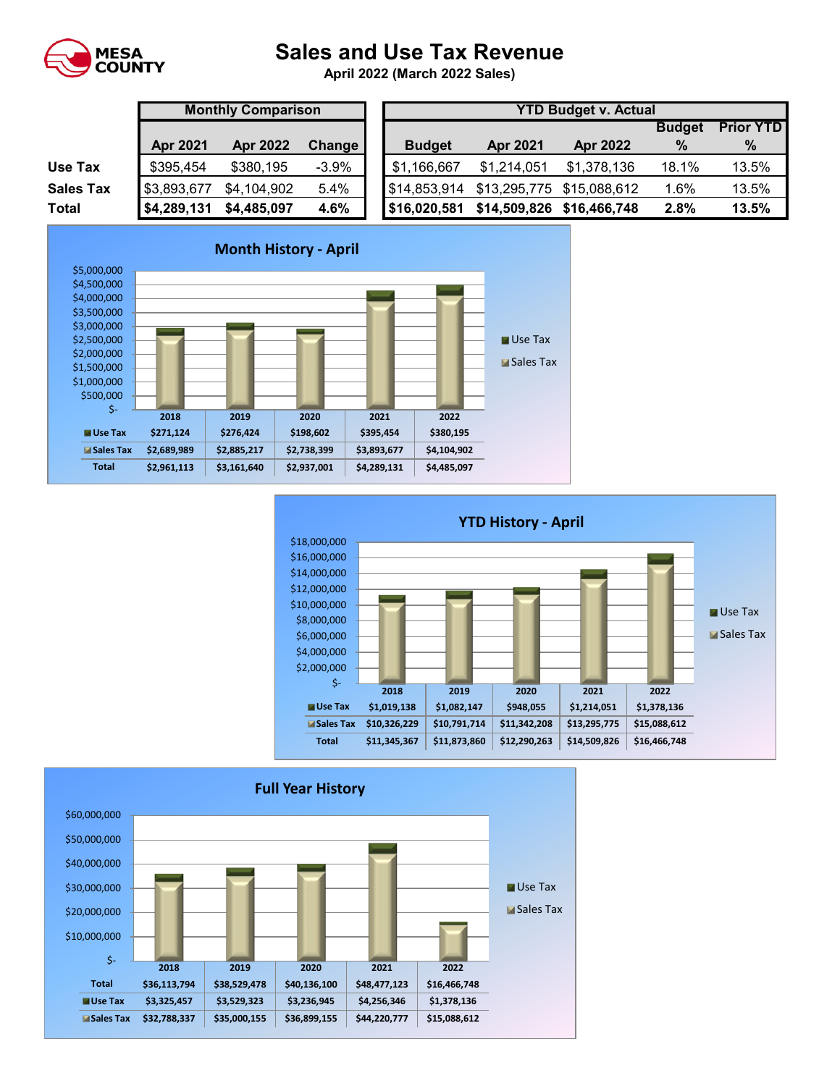

## **Sales and Use Tax Revenue**

**April 2022 (March 2022 Sales)** 

|                  |             | <b>Monthly Comparison</b> |         |  |  |  |  |  |  |  |  |
|------------------|-------------|---------------------------|---------|--|--|--|--|--|--|--|--|
|                  | Apr 2021    | <b>Apr 2022</b>           | Change  |  |  |  |  |  |  |  |  |
| Use Tax          | \$395,454   | \$380,195                 | $-3.9%$ |  |  |  |  |  |  |  |  |
| <b>Sales Tax</b> | \$3,893,677 | \$4,104,902               | 5.4%    |  |  |  |  |  |  |  |  |
| <b>Total</b>     | \$4,289,131 | \$4,485,097               | 4.6%    |  |  |  |  |  |  |  |  |

|                  |                 | <b>Monthly Comparison</b> |          |  | <b>YTD Budget v. Actual</b> |                           |                 |               |                  |  |  |  |
|------------------|-----------------|---------------------------|----------|--|-----------------------------|---------------------------|-----------------|---------------|------------------|--|--|--|
|                  |                 |                           |          |  |                             |                           |                 | <b>Budget</b> | <b>Prior YTD</b> |  |  |  |
|                  | <b>Apr 2021</b> | <b>Apr 2022</b>           | Change   |  | <b>Budget</b>               | <b>Apr 2021</b>           | <b>Apr 2022</b> | $\%$          | $\%$             |  |  |  |
| Use Tax          | \$395,454       | \$380,195                 | $-3.9\%$ |  | \$1,166,667                 | \$1.214.051               | \$1,378,136     | 18.1%         | 13.5%            |  |  |  |
| <b>Sales Tax</b> | \$3,893,677     | \$4,104,902               | 5.4%     |  | \$14,853,914                | \$13,295,775 \$15,088,612 |                 | 6%. ا         | 13.5%            |  |  |  |
| Total            | \$4,289,131     | \$4,485,097               | 4.6%     |  | \$16,020,581                | \$14,509,826 \$16,466,748 |                 | 2.8%          | 13.5%            |  |  |  |





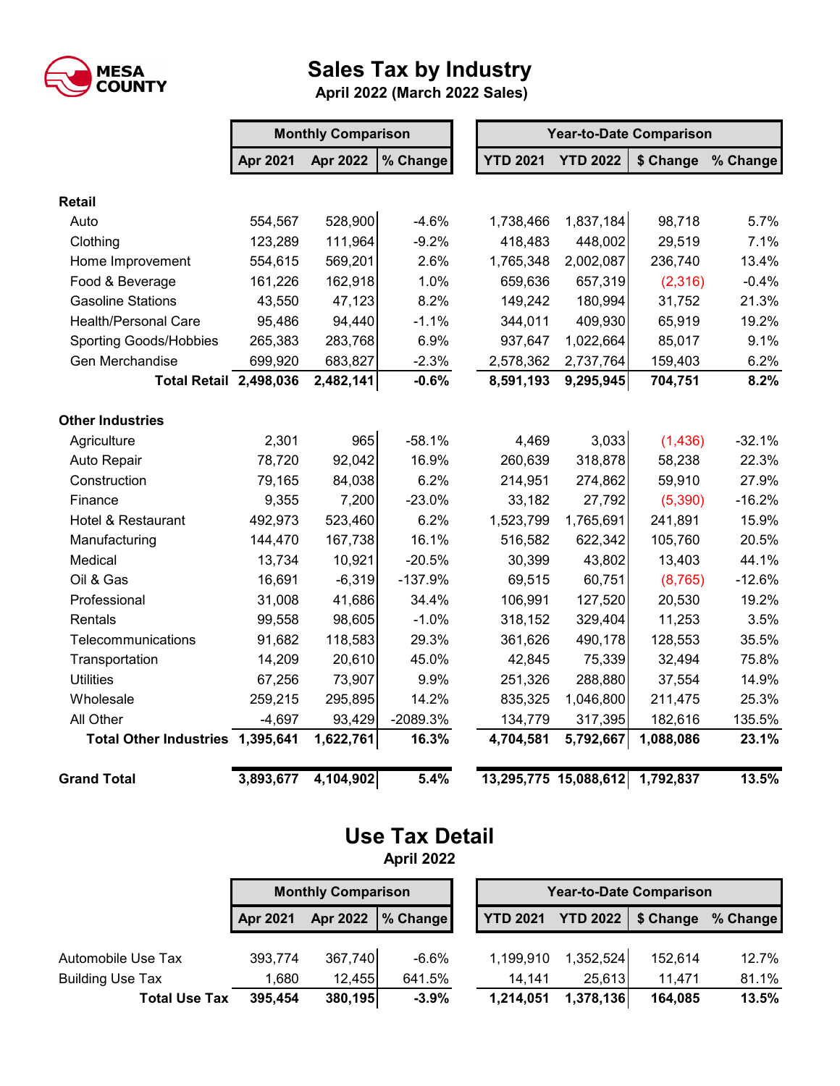

## **Sales Tax by Industry**

 **April 2022 (March 2022 Sales)**

|                                  | <b>Monthly Comparison</b><br><b>Year-to-Date Comparison</b> |                 |           |  |                                 |                 |           |          |
|----------------------------------|-------------------------------------------------------------|-----------------|-----------|--|---------------------------------|-----------------|-----------|----------|
|                                  | Apr 2021                                                    | <b>Apr 2022</b> | % Change  |  | <b>YTD 2021</b>                 | <b>YTD 2022</b> | \$ Change | % Change |
| <b>Retail</b>                    |                                                             |                 |           |  |                                 |                 |           |          |
| Auto                             | 554,567                                                     | 528,900         | $-4.6%$   |  | 1,738,466                       | 1,837,184       | 98,718    | 5.7%     |
| Clothing                         | 123,289                                                     | 111,964         | $-9.2%$   |  | 418,483                         | 448,002         | 29,519    | 7.1%     |
| Home Improvement                 | 554,615                                                     | 569,201         | 2.6%      |  | 1,765,348                       | 2,002,087       | 236,740   | 13.4%    |
| Food & Beverage                  | 161,226                                                     | 162,918         | 1.0%      |  | 659,636                         | 657,319         | (2,316)   | $-0.4%$  |
| <b>Gasoline Stations</b>         | 43,550                                                      | 47,123          | 8.2%      |  | 149,242                         | 180,994         | 31,752    | 21.3%    |
| <b>Health/Personal Care</b>      | 95,486                                                      | 94,440          | $-1.1%$   |  | 344,011                         | 409,930         | 65,919    | 19.2%    |
| <b>Sporting Goods/Hobbies</b>    | 265,383                                                     | 283,768         | 6.9%      |  | 937,647                         | 1,022,664       | 85,017    | 9.1%     |
| Gen Merchandise                  | 699,920                                                     | 683,827         | $-2.3%$   |  | 2,578,362                       | 2,737,764       | 159,403   | 6.2%     |
| <b>Total Retail 2,498,036</b>    |                                                             | 2,482,141       | $-0.6%$   |  | 8,591,193                       | 9,295,945       | 704,751   | 8.2%     |
| <b>Other Industries</b>          |                                                             |                 |           |  |                                 |                 |           |          |
| Agriculture                      | 2,301                                                       | 965             | $-58.1%$  |  | 4,469                           | 3,033           | (1,436)   | $-32.1%$ |
| Auto Repair                      | 78,720                                                      | 92,042          | 16.9%     |  | 260,639                         | 318,878         | 58,238    | 22.3%    |
| Construction                     | 79,165                                                      | 84,038          | 6.2%      |  | 214,951                         | 274,862         | 59,910    | 27.9%    |
| Finance                          | 9,355                                                       | 7,200           | $-23.0%$  |  | 33,182                          | 27,792          | (5,390)   | $-16.2%$ |
| <b>Hotel &amp; Restaurant</b>    | 492,973                                                     | 523,460         | 6.2%      |  | 1,523,799                       | 1,765,691       | 241,891   | 15.9%    |
| Manufacturing                    | 144,470                                                     | 167,738         | 16.1%     |  | 516,582                         | 622,342         | 105,760   | 20.5%    |
| Medical                          | 13,734                                                      | 10,921          | $-20.5%$  |  | 30,399                          | 43,802          | 13,403    | 44.1%    |
| Oil & Gas                        | 16,691                                                      | $-6,319$        | $-137.9%$ |  | 69,515                          | 60,751          | (8,765)   | $-12.6%$ |
| Professional                     | 31,008                                                      | 41,686          | 34.4%     |  | 106,991                         | 127,520         | 20,530    | 19.2%    |
| Rentals                          | 99,558                                                      | 98,605          | $-1.0%$   |  | 318,152                         | 329,404         | 11,253    | 3.5%     |
| Telecommunications               | 91,682                                                      | 118,583         | 29.3%     |  | 361,626                         | 490,178         | 128,553   | 35.5%    |
| Transportation                   | 14,209                                                      | 20,610          | 45.0%     |  | 42,845                          | 75,339          | 32,494    | 75.8%    |
| <b>Utilities</b>                 | 67,256                                                      | 73,907          | 9.9%      |  | 251,326                         | 288,880         | 37,554    | 14.9%    |
| Wholesale                        | 259,215                                                     | 295,895         | 14.2%     |  | 835,325                         | 1,046,800       | 211,475   | 25.3%    |
| All Other                        | $-4,697$                                                    | 93,429          | -2089.3%  |  | 134,779                         | 317,395         | 182,616   | 135.5%   |
| Total Other Industries 1,395,641 |                                                             | 1,622,761       | 16.3%     |  | 4,704,581                       | 5,792,667       | 1,088,086 | 23.1%    |
| <b>Grand Total</b>               | 3,893,677                                                   | 4,104,902       | 5.4%      |  | 13,295,775 15,088,612 1,792,837 |                 |           | 13.5%    |

## **Use Tax Detail April 2022**

|                         | <b>Monthly Comparison</b> |         |                        |  | <b>Year-to-Date Comparison</b> |           |           |          |  |  |  |
|-------------------------|---------------------------|---------|------------------------|--|--------------------------------|-----------|-----------|----------|--|--|--|
|                         | Apr 2021                  |         | Apr 2022 $\,$ % Change |  | <b>YTD 2021 YTD 2022</b>       |           | \$ Change | % Change |  |  |  |
| Automobile Use Tax      | 393,774                   | 367,740 | $-6.6%$                |  | 1,199,910                      | 1,352,524 | 152,614   | 12.7%    |  |  |  |
| <b>Building Use Tax</b> | 1,680                     | 12,455  | 641.5%                 |  | 14.141                         | 25,613    | 11.471    | 81.1%    |  |  |  |
| <b>Total Use Tax</b>    | 395,454                   | 380,195 | $-3.9%$                |  | 1,214,051                      | 1,378,136 | 164,085   | 13.5%    |  |  |  |